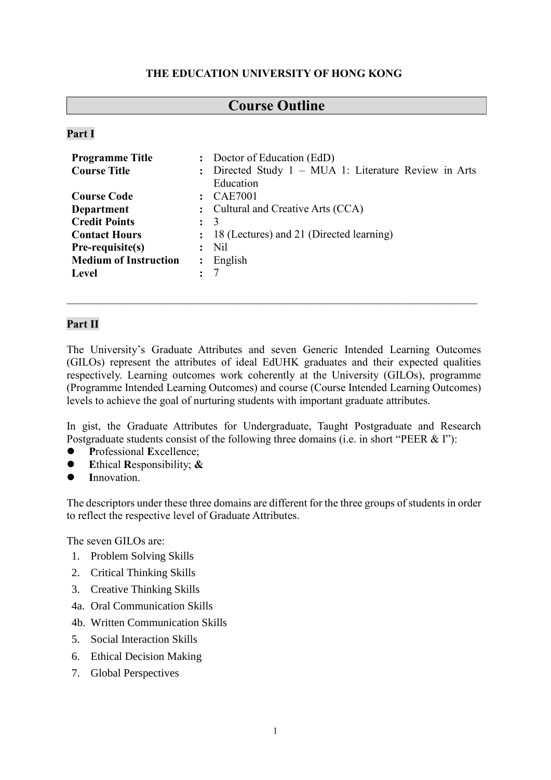## **THE EDUCATION UNIVERSITY OF HONG KONG**

# **Course Outline**

#### **Part I**

|                      | : Doctor of Education (EdD)                           |  |  |  |
|----------------------|-------------------------------------------------------|--|--|--|
|                      | : Directed Study 1 – MUA 1: Literature Review in Arts |  |  |  |
|                      | Education                                             |  |  |  |
| $\ddot{\cdot}$       | <b>CAE7001</b>                                        |  |  |  |
|                      | : Cultural and Creative Arts (CCA)                    |  |  |  |
| $\ddot{\phantom{a}}$ | 3                                                     |  |  |  |
|                      | : 18 (Lectures) and 21 (Directed learning)            |  |  |  |
|                      | N <sub>il</sub>                                       |  |  |  |
| $\ddot{\phantom{a}}$ | English                                               |  |  |  |
|                      |                                                       |  |  |  |
|                      |                                                       |  |  |  |

## **Part II**

The University's Graduate Attributes and seven Generic Intended Learning Outcomes (GILOs) represent the attributes of ideal EdUHK graduates and their expected qualities respectively. Learning outcomes work coherently at the University (GILOs), programme (Programme Intended Learning Outcomes) and course (Course Intended Learning Outcomes) levels to achieve the goal of nurturing students with important graduate attributes.

In gist, the Graduate Attributes for Undergraduate, Taught Postgraduate and Research Postgraduate students consist of the following three domains (i.e. in short "PEER & I"):

- **P**rofessional **E**xcellence;
- **E**thical **R**esponsibility; **&**
- **I**nnovation.

The descriptors under these three domains are different for the three groups of students in order to reflect the respective level of Graduate Attributes.

The seven GILOs are:

- 1. Problem Solving Skills
- 2. Critical Thinking Skills
- 3. Creative Thinking Skills
- 4a. Oral Communication Skills
- 4b. Written Communication Skills
- 5. Social Interaction Skills
- 6. Ethical Decision Making
- 7. Global Perspectives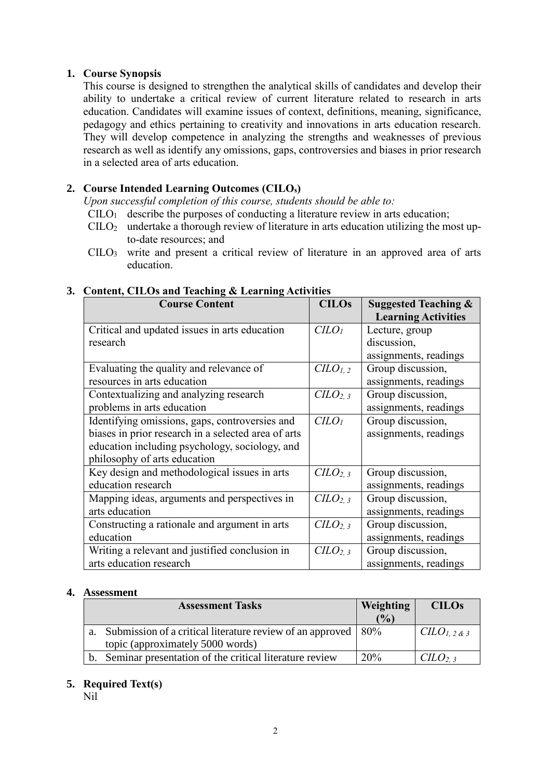## **1. Course Synopsis**

This course is designed to strengthen the analytical skills of candidates and develop their ability to undertake a critical review of current literature related to research in arts education. Candidates will examine issues of context, definitions, meaning, significance, pedagogy and ethics pertaining to creativity and innovations in arts education research. They will develop competence in analyzing the strengths and weaknesses of previous research as well as identify any omissions, gaps, controversies and biases in prior research in a selected area of arts education.

## **2. Course Intended Learning Outcomes (CILOs)**

*Upon successful completion of this course, students should be able to:*

- $C<sub>II</sub>O<sub>1</sub>$  describe the purposes of conducting a literature review in arts education;
- $C I L O<sub>2</sub>$  undertake a thorough review of literature in arts education utilizing the most upto-date resources; and
- CILO<sup>3</sup> write and present a critical review of literature in an approved area of arts education.

| <b>Course Content</b>                               | <b>CILOs</b>                     | <b>Suggested Teaching &amp;</b> |
|-----------------------------------------------------|----------------------------------|---------------------------------|
|                                                     |                                  | <b>Learning Activities</b>      |
| Critical and updated issues in arts education       | C <sub>LO<sub>1</sub></sub>      | Lecture, group                  |
| research                                            |                                  | discussion,                     |
|                                                     |                                  | assignments, readings           |
| Evaluating the quality and relevance of             | CLO <sub>1,2</sub>               | Group discussion,               |
| resources in arts education                         |                                  | assignments, readings           |
| Contextualizing and analyzing research              | C <sub>L</sub> O <sub>2, 3</sub> | Group discussion,               |
| problems in arts education                          |                                  | assignments, readings           |
| Identifying omissions, gaps, controversies and      | C <sub>LO<sub>1</sub></sub>      | Group discussion,               |
| biases in prior research in a selected area of arts |                                  | assignments, readings           |
| education including psychology, sociology, and      |                                  |                                 |
| philosophy of arts education                        |                                  |                                 |
| Key design and methodological issues in arts        | C <sub>LO2, 3</sub>              | Group discussion,               |
| education research                                  |                                  | assignments, readings           |
| Mapping ideas, arguments and perspectives in        | C <sub>L</sub> O <sub>2, 3</sub> | Group discussion,               |
| arts education                                      |                                  | assignments, readings           |
| Constructing a rationale and argument in arts       | C <sub>L</sub> O <sub>2, 3</sub> | Group discussion,               |
| education                                           |                                  | assignments, readings           |
| Writing a relevant and justified conclusion in      | C <sub>L</sub> O <sub>2,3</sub>  | Group discussion,               |
| arts education research                             |                                  | assignments, readings           |

#### **3. Content, CILOs and Teaching & Learning Activities**

#### **4. Assessment**

| <b>Assessment Tasks</b>                                                           | Weighting | <b>CILOs</b>  |
|-----------------------------------------------------------------------------------|-----------|---------------|
|                                                                                   | (%)       |               |
| a. Submission of a critical literature review of an approved $\vert 80\% \rangle$ |           | $CLO1, 2$ & 3 |
| topic (approximately 5000 words)                                                  |           |               |
| Seminar presentation of the critical literature review                            | $20\%$    | $CLO_{2,3}$   |

## **5. Required Text(s)**

Nil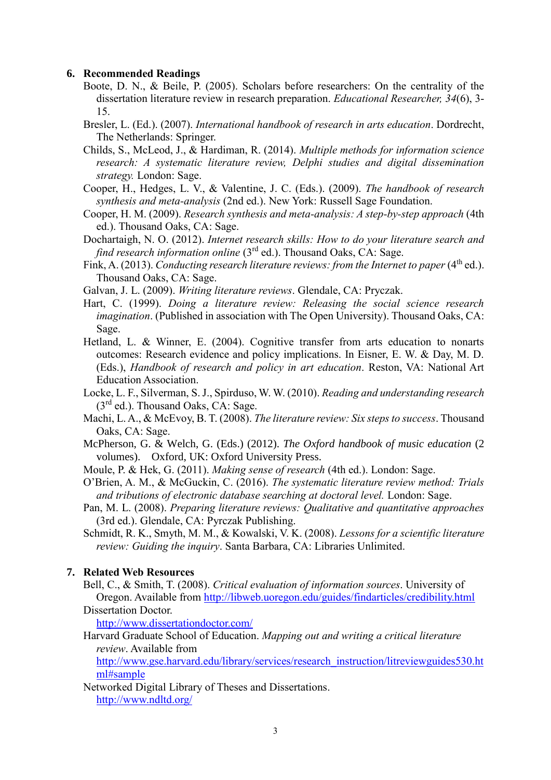#### **6. Recommended Readings**

- Boote, D. N., & Beile, P. (2005). Scholars before researchers: On the centrality of the dissertation literature review in research preparation. *Educational Researcher, 34*(6), 3- 15.
- Bresler, L. (Ed.). (2007). *International handbook of research in arts education*. Dordrecht, The Netherlands: Springer.
- Childs, S., McLeod, J., & Hardiman, R. (2014). *Multiple methods for information science research: A systematic literature review, Delphi studies and digital dissemination strategy.* London: Sage.
- Cooper, H., Hedges, L. V., & Valentine, J. C. (Eds.). (2009). *The handbook of research synthesis and meta-analysis* (2nd ed.). New York: Russell Sage Foundation.
- Cooper, H. M. (2009). *Research synthesis and meta-analysis: A step-by-step approach* (4th ed.). Thousand Oaks, CA: Sage.
- Dochartaigh, N. O. (2012). *Internet research skills: How to do your literature search and find research information online* (3<sup>rd</sup> ed.). Thousand Oaks, CA: Sage.
- Fink, A. (2013). *Conducting research literature reviews: from the Internet to paper* (4<sup>th</sup> ed.). Thousand Oaks, CA: Sage.
- Galvan, J. L. (2009). *Writing literature reviews*. Glendale, CA: Pryczak.
- Hart, C. (1999). *Doing a literature review: Releasing the social science research imagination*. (Published in association with The Open University). Thousand Oaks, CA: Sage.
- Hetland, L. & Winner, E. (2004). Cognitive transfer from arts education to nonarts outcomes: Research evidence and policy implications. In Eisner, E. W. & Day, M. D. (Eds.), *Handbook of research and policy in art education*. Reston, VA: National Art Education Association.
- Locke, L. F., Silverman, S. J., Spirduso, W. W. (2010). *Reading and understanding research*  $(3<sup>rd</sup>$  ed.). Thousand Oaks, CA: Sage.
- Machi, L. A., & McEvoy, B. T. (2008). *The literature review: Six steps to success*. Thousand Oaks, CA: Sage.
- McPherson, G. & Welch, G. (Eds.) (2012). *The Oxford handbook of music education* (2 volumes). Oxford, UK: Oxford University Press.
- Moule, P. & Hek, G. (2011). *Making sense of research* (4th ed.). London: Sage.
- O'Brien, A. M., & McGuckin, C. (2016). *The systematic literature review method: Trials and tributions of electronic database searching at doctoral level.* London: Sage.
- Pan, M. L. (2008). *Preparing literature reviews: Qualitative and quantitative approaches*  (3rd ed.). Glendale, CA: Pyrczak Publishing.
- Schmidt, R. K., Smyth, M. M., & Kowalski, V. K. (2008). *Lessons for a scientific literature review: Guiding the inquiry*. Santa Barbara, CA: Libraries Unlimited.

## **7. Related Web Resources**

Bell, C., & Smith, T. (2008). *Critical evaluation of information sources*. University of Oregon. Available from<http://libweb.uoregon.edu/guides/findarticles/credibility.html> Dissertation Doctor.

http://www.dissertationdoctor.com/

Harvard Graduate School of Education. *Mapping out and writing a critical literature review*. Available from

[http://www.gse.harvard.edu/library/services/research\\_instruction/litreviewguides530.ht](http://www.gse.harvard.edu/library/services/research_instruction/litreviewguides530.html#sample) [ml#sample](http://www.gse.harvard.edu/library/services/research_instruction/litreviewguides530.html#sample)

Networked Digital Library of Theses and Dissertations. <http://www.ndltd.org/>